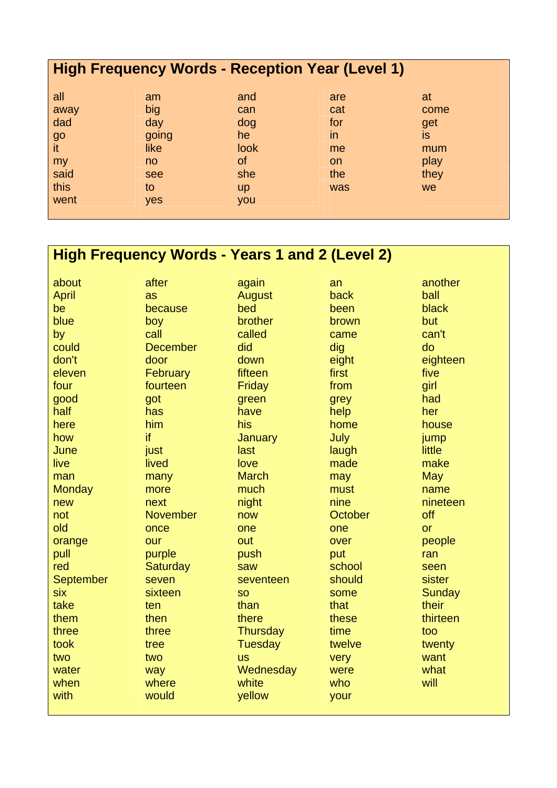| <b>High Frequency Words - Reception Year (Level 1)</b> |       |             |           |                          |  |  |  |  |
|--------------------------------------------------------|-------|-------------|-----------|--------------------------|--|--|--|--|
| all                                                    | am    | and         | are       | at                       |  |  |  |  |
| away                                                   | big   | can         | cat       | come                     |  |  |  |  |
| dad                                                    | day   | dog         | for       | get                      |  |  |  |  |
| $g$ o                                                  | going | he          | in        | $\overline{\mathsf{is}}$ |  |  |  |  |
| it                                                     | like  | <b>look</b> | me        | mum                      |  |  |  |  |
| my                                                     | no    | 0f          | <b>on</b> | play                     |  |  |  |  |
| said                                                   | see   | she         | the       | they                     |  |  |  |  |
| this                                                   | to    | <b>up</b>   | was       | <b>we</b>                |  |  |  |  |
| went                                                   | yes   | you         |           |                          |  |  |  |  |

## **High Frequency Words - Years 1 and 2 (Level 2)**

| about            | after           | again           | an      | another       |
|------------------|-----------------|-----------------|---------|---------------|
| <b>April</b>     | as              | <b>August</b>   | back    | ball          |
| be               | because         | bed             | been    | black         |
| blue             | boy             | brother         | brown   | but           |
| by               | call            | called          | came    | can't         |
| could            | <b>December</b> | did             | dig     | do            |
| don't            | door            | down            | eight   | eighteen      |
| eleven           | February        | fifteen         | first   | five          |
| four             | fourteen        | Friday          | from    | girl          |
| good             | got             | green           | grey    | had           |
| half             | has             | have            | help    | her           |
| here             | him             | his             | home    | house         |
| how              | if              | January         | July    | jump          |
| June             | just            | last            | laugh   | little        |
| live             | lived           | love            | made    | make          |
| man              | many            | <b>March</b>    | may     | <b>May</b>    |
| <b>Monday</b>    | more            | much            | must    | name          |
| new              | next            | night           | nine    | nineteen      |
| not              | <b>November</b> | now             | October | off           |
| old              | once            | one             | one     | <b>or</b>     |
| orange           | our             | out             | over    | people        |
| pull             | purple          | push            | put     | ran           |
| red              | Saturday        | saw             | school  | seen          |
| <b>September</b> | seven           | seventeen       | should  | sister        |
| six              | sixteen         | <b>SO</b>       | some    | <b>Sunday</b> |
| take             | ten             | than            | that    | their         |
| them             | then            | there           | these   | thirteen      |
| three            | three           | <b>Thursday</b> | time    | too           |
| took             | tree            | <b>Tuesday</b>  | twelve  | twenty        |
| two              | two             | <b>us</b>       | very    | want          |
| water            | way             | Wednesday       | were    | what          |
| when             | where           | white           | who     | will          |
| with             | would           | yellow          | your    |               |
|                  |                 |                 |         |               |